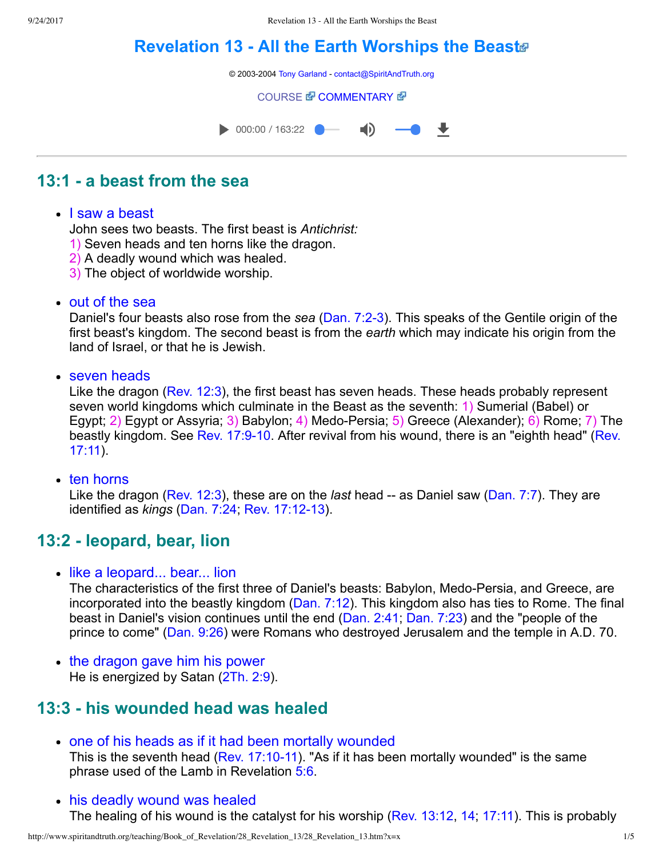# **[Revelation 13 All the Earth Worships the Beast](http://www.spiritandtruth.org/teaching/Book_of_Revelation/28_Revelation_13/index.htm)**

© 2003-2004 [Tony Garland](http://www.spiritandtruth.org/teaching/teachers/tony_garland/bio.htm) - [contact@SpiritAndTruth.org](mailto:contact@SpiritAndTruth.org?subject=ST-MAIL:%20Revelation%2013%20-%20All%20the%20Earth%20Worships%20the%20Beast)

**[COURSE](http://www.spiritandtruth.org/teaching/Book_of_Revelation/28_Revelation_13/index.htm) & [COMMENTARY](http://www.spiritandtruth.org/teaching/Book_of_Revelation/commentary/htm/index.html?Revelation_13) &** 



## **13:1 a beast from the sea**

#### • I saw a beast

John sees two beasts. The first beast is *Antichrist:* 

- 1) Seven heads and ten horns like the dragon.
- 2) A deadly wound which was healed.
- 3) The object of worldwide worship.
- out of the sea

Daniel's four beasts also rose from the *sea* ([Dan. 7:23\)](http://www.spiritandtruth.org/bibles/nasb/b27c007.htm#Dan._C7V2). This speaks of the Gentile origin of the first beast's kingdom. The second beast is from the *earth* which may indicate his origin from the land of Israel, or that he is Jewish.

• seven heads

Like the dragon [\(Rev. 12:3](http://www.spiritandtruth.org/bibles/nasb/b66c012.htm#Rev._C12V3)), the first beast has seven heads. These heads probably represent seven world kingdoms which culminate in the Beast as the seventh: 1) Sumerial (Babel) or Egypt; 2) Egypt or Assyria; 3) Babylon; 4) Medo-Persia; 5) Greece (Alexander); 6) Rome; 7) The beastly kingdom. See Rev. 17:9-10. After revival from his wound, there is an "eighth head" (Rev. 17:11).

 $\cdot$  ten horns

Like the dragon [\(Rev. 12:3](http://www.spiritandtruth.org/bibles/nasb/b66c012.htm#Rev._C12V3)), these are on the *last* head -- as Daniel saw [\(Dan. 7:7](http://www.spiritandtruth.org/bibles/nasb/b27c007.htm#Dan._C7V7)). They are identified as *kings* ([Dan. 7:24;](http://www.spiritandtruth.org/bibles/nasb/b27c007.htm#Dan._C7V24) Rev. 17:12-13).

### **13:2 leopard, bear, lion**

• like a leopard... bear... lion

The characteristics of the first three of Daniel's beasts: Babylon, Medo-Persia, and Greece, are incorporated into the beastly kingdom ([Dan. 7:12](http://www.spiritandtruth.org/bibles/nasb/b27c007.htm#Dan._C7V12)). This kingdom also has ties to Rome. The final beast in Daniel's vision continues until the end ([Dan. 2:41;](http://www.spiritandtruth.org/bibles/nasb/b27c002.htm#Dan._C2V41) [Dan. 7:23](http://www.spiritandtruth.org/bibles/nasb/b27c007.htm#Dan._C7V23)) and the "people of the prince to come" [\(Dan. 9:26\)](http://www.spiritandtruth.org/bibles/nasb/b27c009.htm#Dan._C9V26) were Romans who destroyed Jerusalem and the temple in A.D. 70.

• the dragon gave him his power He is energized by Satan ([2Th. 2:9](http://www.spiritandtruth.org/bibles/nasb/b53c002.htm#2Th._C2V9)).

### **13:3 his wounded head was healed**

- one of his heads as if it had been mortally wounded This is the seventh head (Rev.  $17:10-11$ ). "As if it has been mortally wounded" is the same phrase used of the Lamb in Revelation [5:6.](http://www.spiritandtruth.org/bibles/nasb/b66c005.htm#Rev._C5V6)
- his deadly wound was healed The healing of his wound is the catalyst for his worship ([Rev. 13:12,](http://www.spiritandtruth.org/bibles/nasb/b66c013.htm#Rev._C13V12) [14](http://www.spiritandtruth.org/bibles/nasb/b66c013.htm#Rev._C13V14); [17:11\)](http://www.spiritandtruth.org/bibles/nasb/b66c017.htm#Rev._C17V11). This is probably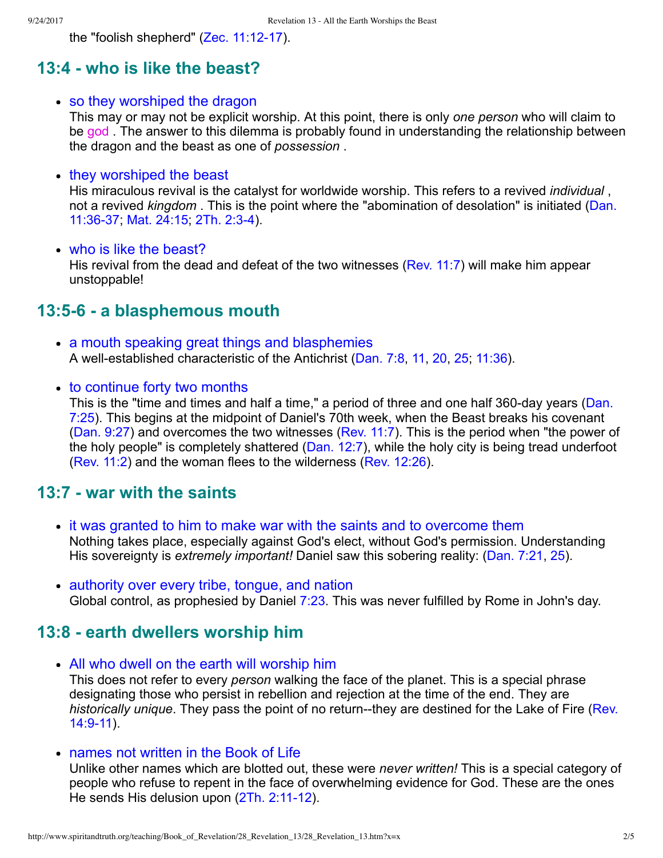the "foolish shepherd" (Zec. 11:12-17).

### **13:4 who is like the beast?**

• so they worshiped the dragon

This may or may not be explicit worship. At this point, there is only *one person* who will claim to be god . The answer to this dilemma is probably found in understanding the relationship between the dragon and the beast as one of *possession* .

#### • they worshiped the beast

His miraculous revival is the catalyst for worldwide worship. This refers to a revived *individual* , not a revived *kingdom* [. This is the point where the "abomination of desolation" is initiated \(Dan.](http://www.spiritandtruth.org/bibles/nasb/b27c011.htm#Dan._C11V36) 11:36-37; [Mat. 24:15;](http://www.spiritandtruth.org/bibles/nasb/b40c024.htm#Mat._C24V15) 2Th. 2:3-4).

#### • who is like the beast?

His revival from the dead and defeat of the two witnesses ([Rev. 11:7](http://www.spiritandtruth.org/bibles/nasb/b66c011.htm#Rev._C11V7)) will make him appear unstoppable!

#### **13:56 a blasphemous mouth**

- a mouth speaking great things and blasphemies A well-established characteristic of the Antichrist [\(Dan. 7:8,](http://www.spiritandtruth.org/bibles/nasb/b27c007.htm#Dan._C7V8) [11,](http://www.spiritandtruth.org/bibles/nasb/b27c007.htm#Dan._C7V11) [20,](http://www.spiritandtruth.org/bibles/nasb/b27c007.htm#Dan._C7V20) 25, [11:36\)](http://www.spiritandtruth.org/bibles/nasb/b27c011.htm#Dan._C11V36).
- to continue forty two months

This is the "time and times and half a time," a period of three and one half 360-day years (Dan. 7:25). This begins at the midpoint of Daniel's 70th week, when the Beast breaks his covenant [\(Dan. 9:27](http://www.spiritandtruth.org/bibles/nasb/b27c009.htm#Dan._C9V27)) and overcomes the two witnesses [\(Rev. 11:7](http://www.spiritandtruth.org/bibles/nasb/b66c011.htm#Rev._C11V7)). This is the period when "the power of the holy people" is completely shattered [\(Dan. 12:7](http://www.spiritandtruth.org/bibles/nasb/b27c012.htm#Dan._C12V7)), while the holy city is being tread underfoot [\(Rev. 11:2](http://www.spiritandtruth.org/bibles/nasb/b66c011.htm#Rev._C11V2)) and the woman flees to the wilderness ([Rev. 12:26\)](http://www.spiritandtruth.org/bibles/nasb/b66c012.htm#Rev._C12V6).

### **13:7 war with the saints**

- it was granted to him to make war with the saints and to overcome them Nothing takes place, especially against God's elect, without God's permission. Understanding His sovereignty is *extremely important!* Daniel saw this sobering reality: ([Dan. 7:21,](http://www.spiritandtruth.org/bibles/nasb/b27c007.htm#Dan._C7V21) [25\)](http://www.spiritandtruth.org/bibles/nasb/b27c007.htm#Dan._C7V25).
- authority over every tribe, tongue, and nation Global control, as prophesied by Daniel [7:23](http://www.spiritandtruth.org/bibles/nasb/b27c007.htm#Dan._C7V23). This was never fulfilled by Rome in John's day.

#### **13:8 earth dwellers worship him**

- All who dwell on the earth will worship him This does not refer to every *person* walking the face of the planet. This is a special phrase designating those who persist in rebellion and rejection at the time of the end. They are *historically unique*. They pass the point of no return--they are destined for the Lake of Fire (Rev. 14:9-11).
- names not written in the Book of Life

Unlike other names which are blotted out, these were *never written!* This is a special category of people who refuse to repent in the face of overwhelming evidence for God. These are the ones He sends His delusion upon  $(2Th. 2:11-12)$ .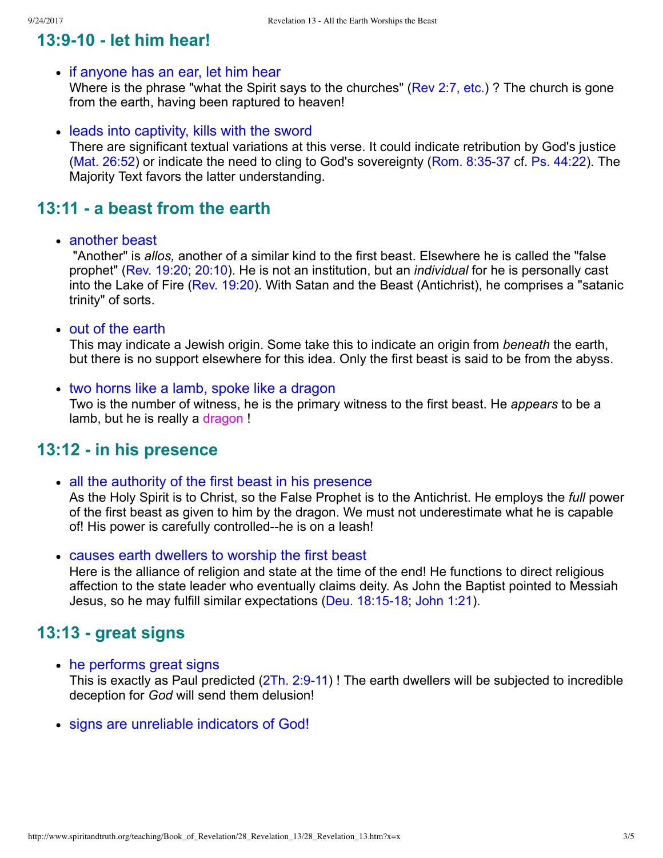## **13:910 let him hear!**

#### • if anyone has an ear, let him hear

Where is the phrase "what the Spirit says to the churches" [\(Rev 2:7, etc.\)](http://www.spiritandtruth.org/bibles/nasb/b66c002.htm#Rev._C2V7)? The church is gone from the earth, having been raptured to heaven!

• leads into captivity, kills with the sword

There are significant textual variations at this verse. It could indicate retribution by God's justice (Mat.  $26:52$ ) or indicate the need to cling to God's sovereignty (Rom.  $8:35-37$  cf. Ps.  $44:22$ ). The Majority Text favors the latter understanding.

## **13:11 a beast from the earth**

• another beast

 "Another" is *allos,* another of a similar kind to the first beast. Elsewhere he is called the "false prophet" ([Rev. 19:20;](http://www.spiritandtruth.org/bibles/nasb/b66c019.htm#Rev._C19V20) [20:10](http://www.spiritandtruth.org/bibles/nasb/b66c020.htm#Rev._C20V10)). He is not an institution, but an *individual* for he is personally cast into the Lake of Fire [\(Rev. 19:20](http://www.spiritandtruth.org/bibles/nasb/b66c019.htm#Rev._C19V20)). With Satan and the Beast (Antichrist), he comprises a "satanic trinity" of sorts.

• out of the earth

This may indicate a Jewish origin. Some take this to indicate an origin from *beneath* the earth, but there is no support elsewhere for this idea. Only the first beast is said to be from the abyss.

• two horns like a lamb, spoke like a dragon Two is the number of witness, he is the primary witness to the first beast. He *appears* to be a lamb, but he is really a dragon !

### **13:12 in his presence**

- all the authority of the first beast in his presence As the Holy Spirit is to Christ, so the False Prophet is to the Antichrist. He employs the *full* power of the first beast as given to him by the dragon. We must not underestimate what he is capable of! His power is carefully controlled--he is on a leash!
- causes earth dwellers to worship the first beast Here is the alliance of religion and state at the time of the end! He functions to direct religious affection to the state leader who eventually claims deity. As John the Baptist pointed to Messiah Jesus, so he may fulfill similar expectations (Deu. 18:15-18; [John 1:21](http://www.spiritandtruth.org/bibles/nasb/b43c001.htm#John_C1V21)).

### **13:13 great signs**

- he performs great signs This is exactly as Paul predicted  $(2Th. 2.9-11)$ ! The earth dwellers will be subjected to incredible deception for *God* will send them delusion!
- signs are unreliable indicators of God!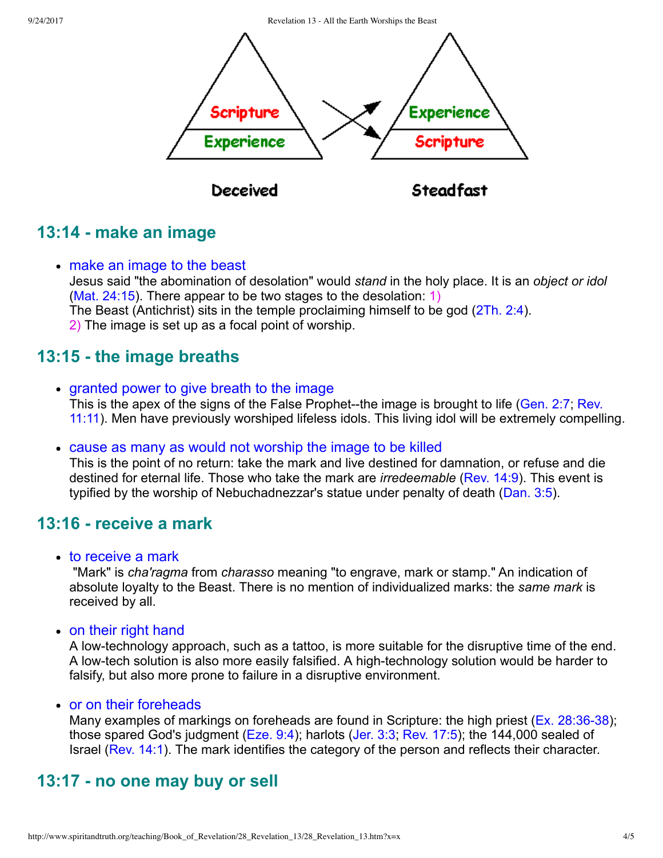9/24/2017 Revelation 13 - All the Earth Worships the Beast



## **13:14 make an image**

• make an image to the beast Jesus said "the abomination of desolation" would *stand* in the holy place. It is an *object or idol* [\(Mat. 24:15\)](http://www.spiritandtruth.org/bibles/nasb/b40c024.htm#Mat._C24V15). There appear to be two stages to the desolation: 1) The Beast (Antichrist) sits in the temple proclaiming himself to be god ([2Th. 2:4\)](http://www.spiritandtruth.org/bibles/nasb/b53c002.htm#2Th._C2V4). 2) The image is set up as a focal point of worship.

## **13:15 the image breaths**

- granted power to give breath to the image This is the apex of the signs of the False Prophet--the image is brought to life (Gen. 2:7; Rev. 11:11). Men have previously worshiped lifeless idols. This living idol will be extremely compelling.
- cause as many as would not worship the image to be killed

This is the point of no return: take the mark and live destined for damnation, or refuse and die destined for eternal life. Those who take the mark are *irredeemable* ([Rev. 14:9](http://www.spiritandtruth.org/bibles/nasb/b66c014.htm#Rev._C14V9)). This event is typified by the worship of Nebuchadnezzar's statue under penalty of death ([Dan. 3:5\)](http://www.spiritandtruth.org/bibles/nasb/b27c003.htm#Dan._C3V5).

### **13:16 receive a mark**

• to receive a mark

 "Mark" is *cha'ragma* from *charasso* meaning "to engrave, mark or stamp." An indication of absolute loyalty to the Beast. There is no mention of individualized marks: the *same mark* is received by all.

• on their right hand

A lowtechnology approach, such as a tattoo, is more suitable for the disruptive time of the end. A low-tech solution is also more easily falsified. A high-technology solution would be harder to falsify, but also more prone to failure in a disruptive environment.

or on their foreheads

Many examples of markings on foreheads are found in Scripture: the high priest ( $Ex. 28:36-38$ ); those spared God's judgment ([Eze. 9:4\)](http://www.spiritandtruth.org/bibles/nasb/b26c009.htm#Eze._C9V4); harlots [\(Jer. 3:3](http://www.spiritandtruth.org/bibles/nasb/b24c003.htm#Jer._C3V3); [Rev. 17:5\)](http://www.spiritandtruth.org/bibles/nasb/b66c017.htm#Rev._C17V5); the 144,000 sealed of Israel ([Rev. 14:1](http://www.spiritandtruth.org/bibles/nasb/b66c014.htm#Rev._C14V1)). The mark identifies the category of the person and reflects their character.

## **13:17 no one may buy or sell**